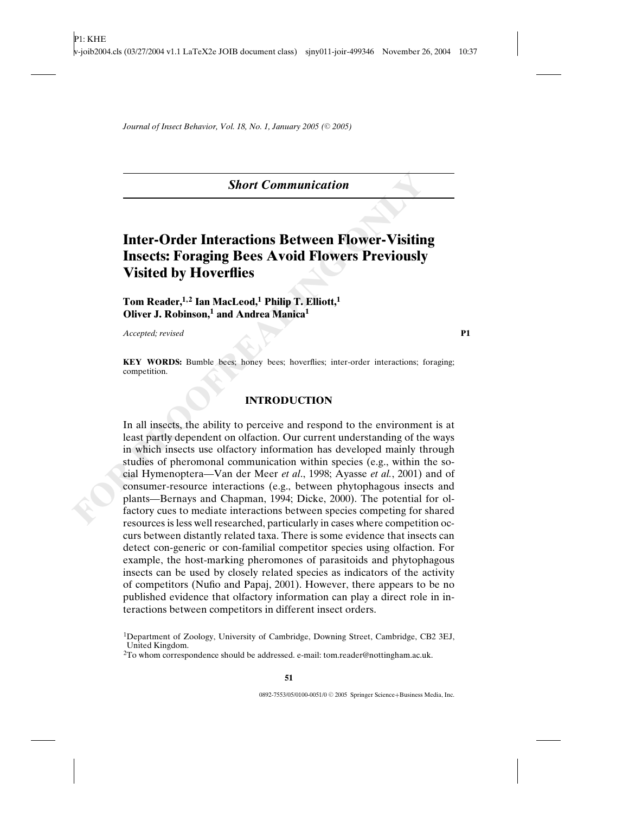*Journal of Insect Behavior, Vol. 18, No. 1, January 2005 (* $\odot$  *2005)* 

*Short Communication*

## **Inter-Order Interactions Between Flower-Visiting Insects: Foraging Bees Avoid Flowers Previously Visited by Hoverflies**

### **Tom Reader,<sup>1</sup>***,***<sup>2</sup> Ian MacLeod,<sup>1</sup> Philip T. Elliott,<sup>1</sup> Oliver J. Robinson,<sup>1</sup> and Andrea Manica<sup>1</sup>**

*Accepted; revised* **P1**

**KEY WORDS:** Bumble bees; honey bees; hoverflies; inter-order interactions; foraging; competition.

### **INTRODUCTION**

**Formal Communication**<br> **Formal Context Section Section Section Flowers Previously<br>
<b>Formal Context Section Section Section Flowers Previously<br>
<b>Formal Reading Bees Avoid Flowers Previously**<br> **Formal Reading Properties**<br> In all insects, the ability to perceive and respond to the environment is at least partly dependent on olfaction. Our current understanding of the ways in which insects use olfactory information has developed mainly through studies of pheromonal communication within species (e.g., within the social Hymenoptera—Van der Meer *et al*., 1998; Ayasse *et al.*, 2001) and of consumer-resource interactions (e.g., between phytophagous insects and plants—Bernays and Chapman, 1994; Dicke, 2000). The potential for olfactory cues to mediate interactions between species competing for shared resources is less well researched, particularly in cases where competition occurs between distantly related taxa. There is some evidence that insects can detect con-generic or con-familial competitor species using olfaction. For example, the host-marking pheromones of parasitoids and phytophagous insects can be used by closely related species as indicators of the activity of competitors (Nufio and Papaj, 2001). However, there appears to be no published evidence that olfactory information can play a direct role in interactions between competitors in different insect orders.

<sup>1</sup>Department of Zoology, University of Cambridge, Downing Street, Cambridge, CB2 3EJ, United Kingdom.

<sup>2</sup>To whom correspondence should be addressed. e-mail: tom.reader@nottingham.ac.uk.

<sup>0892-7553/05/0100-0051/0</sup> <sup>C</sup> 2005 Springer Science+Business Media, Inc.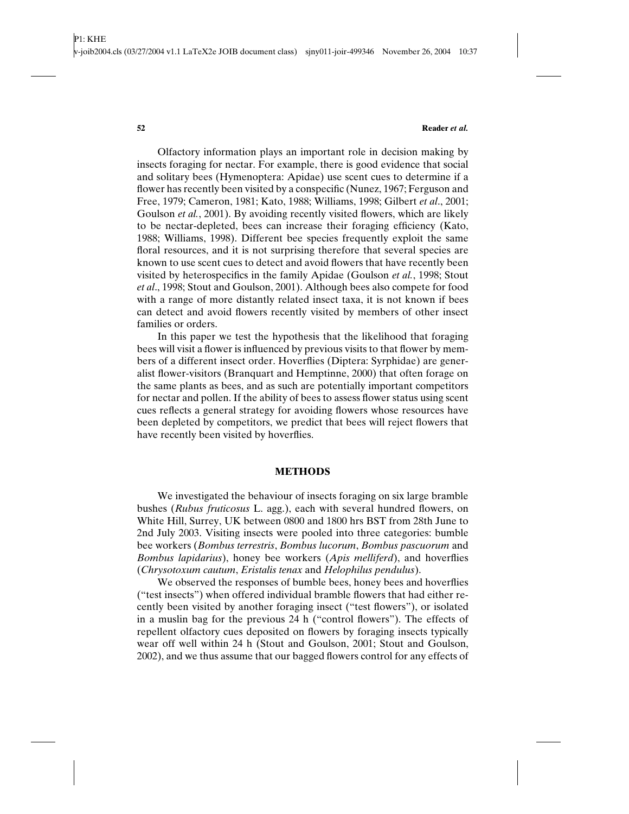#### **52 Reader** *et al.*

Olfactory information plays an important role in decision making by insects foraging for nectar. For example, there is good evidence that social and solitary bees (Hymenoptera: Apidae) use scent cues to determine if a flower has recently been visited by a conspecific (Nunez, 1967; Ferguson and Free, 1979; Cameron, 1981; Kato, 1988; Williams, 1998; Gilbert *et al*., 2001; Goulson *et al.*, 2001). By avoiding recently visited flowers, which are likely to be nectar-depleted, bees can increase their foraging efficiency (Kato, 1988; Williams, 1998). Different bee species frequently exploit the same floral resources, and it is not surprising therefore that several species are known to use scent cues to detect and avoid flowers that have recently been visited by heterospecifics in the family Apidae (Goulson *et al.*, 1998; Stout *et al*., 1998; Stout and Goulson, 2001). Although bees also compete for food with a range of more distantly related insect taxa, it is not known if bees can detect and avoid flowers recently visited by members of other insect families or orders.

In this paper we test the hypothesis that the likelihood that foraging bees will visit a flower is influenced by previous visits to that flower by members of a different insect order. Hoverflies (Diptera: Syrphidae) are generalist flower-visitors (Branquart and Hemptinne, 2000) that often forage on the same plants as bees, and as such are potentially important competitors for nectar and pollen. If the ability of bees to assess flower status using scent cues reflects a general strategy for avoiding flowers whose resources have been depleted by competitors, we predict that bees will reject flowers that have recently been visited by hoverflies.

#### **METHODS**

We investigated the behaviour of insects foraging on six large bramble bushes (*Rubus fruticosus* L. agg.), each with several hundred flowers, on White Hill, Surrey, UK between 0800 and 1800 hrs BST from 28th June to 2nd July 2003. Visiting insects were pooled into three categories: bumble bee workers (*Bombus terrestris*, *Bombus lucorum*, *Bombus pascuorum* and *Bombus lapidarius*), honey bee workers (*Apis melliferd*), and hoverflies (*Chrysotoxum cautum*, *Eristalis tenax* and *Helophilus pendulus*).

We observed the responses of bumble bees, honey bees and hoverflies ("test insects") when offered individual bramble flowers that had either recently been visited by another foraging insect ("test flowers"), or isolated in a muslin bag for the previous 24 h ("control flowers"). The effects of repellent olfactory cues deposited on flowers by foraging insects typically wear off well within 24 h (Stout and Goulson, 2001; Stout and Goulson, 2002), and we thus assume that our bagged flowers control for any effects of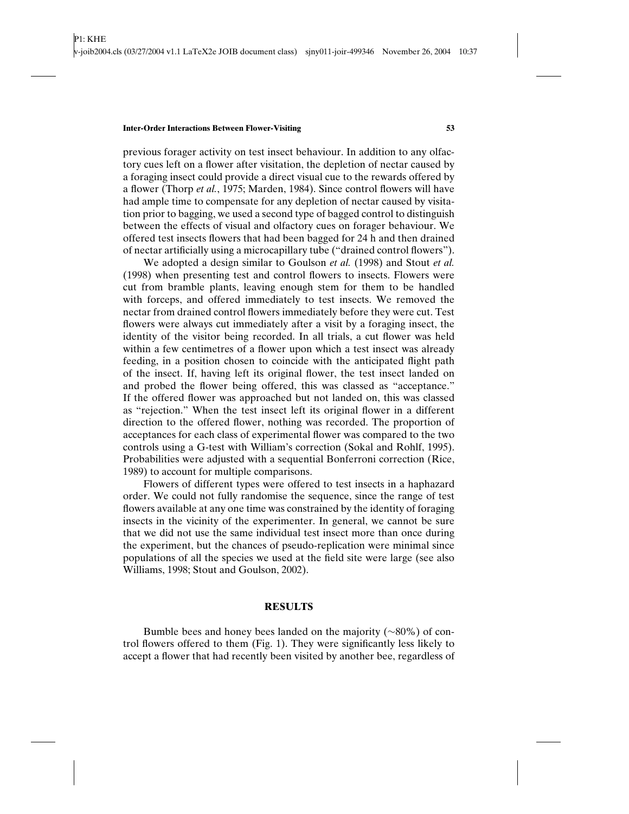#### **Inter-Order Interactions Between Flower-Visiting 53**

previous forager activity on test insect behaviour. In addition to any olfactory cues left on a flower after visitation, the depletion of nectar caused by a foraging insect could provide a direct visual cue to the rewards offered by a flower (Thorp *et al.*, 1975; Marden, 1984). Since control flowers will have had ample time to compensate for any depletion of nectar caused by visitation prior to bagging, we used a second type of bagged control to distinguish between the effects of visual and olfactory cues on forager behaviour. We offered test insects flowers that had been bagged for 24 h and then drained of nectar artificially using a microcapillary tube ("drained control flowers").

We adopted a design similar to Goulson *et al.* (1998) and Stout *et al.* (1998) when presenting test and control flowers to insects. Flowers were cut from bramble plants, leaving enough stem for them to be handled with forceps, and offered immediately to test insects. We removed the nectar from drained control flowers immediately before they were cut. Test flowers were always cut immediately after a visit by a foraging insect, the identity of the visitor being recorded. In all trials, a cut flower was held within a few centimetres of a flower upon which a test insect was already feeding, in a position chosen to coincide with the anticipated flight path of the insect. If, having left its original flower, the test insect landed on and probed the flower being offered, this was classed as "acceptance." If the offered flower was approached but not landed on, this was classed as "rejection." When the test insect left its original flower in a different direction to the offered flower, nothing was recorded. The proportion of acceptances for each class of experimental flower was compared to the two controls using a G-test with William's correction (Sokal and Rohlf, 1995). Probabilities were adjusted with a sequential Bonferroni correction (Rice, 1989) to account for multiple comparisons.

Flowers of different types were offered to test insects in a haphazard order. We could not fully randomise the sequence, since the range of test flowers available at any one time was constrained by the identity of foraging insects in the vicinity of the experimenter. In general, we cannot be sure that we did not use the same individual test insect more than once during the experiment, but the chances of pseudo-replication were minimal since populations of all the species we used at the field site were large (see also Williams, 1998; Stout and Goulson, 2002).

#### **RESULTS**

Bumble bees and honey bees landed on the majority (∼80%) of control flowers offered to them (Fig. 1). They were significantly less likely to accept a flower that had recently been visited by another bee, regardless of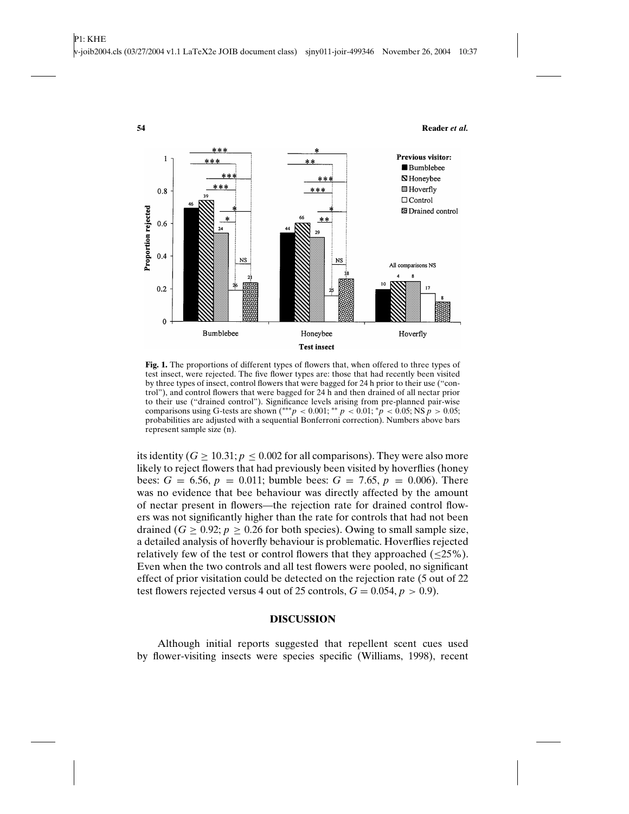

**Fig. 1.** The proportions of different types of flowers that, when offered to three types of test insect, were rejected. The five flower types are: those that had recently been visited by three types of insect, control flowers that were bagged for 24 h prior to their use ("control"), and control flowers that were bagged for 24 h and then drained of all nectar prior to their use ("drained control"). Significance levels arising from pre-planned pair-wise comparisons using G-tests are shown (\*\*\* $p < 0.001$ ; \*\*  $p < 0.01$ ; \* $p < 0.05$ ; NS  $p > 0.05$ ; probabilities are adjusted with a sequential Bonferroni correction). Numbers above bars represent sample size (n).

its identity ( $G \ge 10.31$ ;  $p \le 0.002$  for all comparisons). They were also more likely to reject flowers that had previously been visited by hoverflies (honey bees:  $G = 6.56$ ,  $p = 0.011$ ; bumble bees:  $G = 7.65$ ,  $p = 0.006$ ). There was no evidence that bee behaviour was directly affected by the amount of nectar present in flowers—the rejection rate for drained control flowers was not significantly higher than the rate for controls that had not been drained ( $G \geq 0.92$ ;  $p \geq 0.26$  for both species). Owing to small sample size, a detailed analysis of hoverfly behaviour is problematic. Hoverflies rejected relatively few of the test or control flowers that they approached  $(\leq 25\%)$ . Even when the two controls and all test flowers were pooled, no significant effect of prior visitation could be detected on the rejection rate (5 out of 22 test flowers rejected versus 4 out of 25 controls,  $G = 0.054$ ,  $p > 0.9$ ).

#### **DISCUSSION**

Although initial reports suggested that repellent scent cues used by flower-visiting insects were species specific (Williams, 1998), recent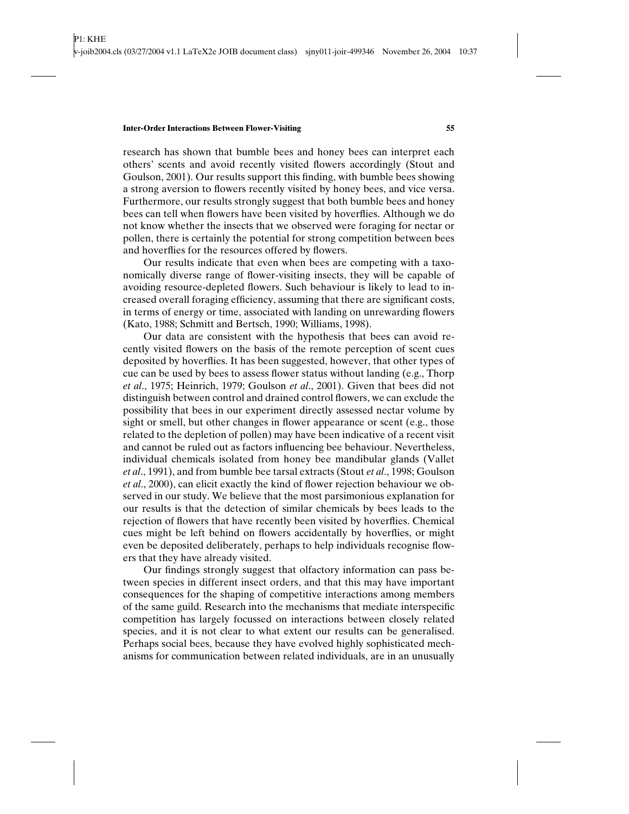#### **Inter-Order Interactions Between Flower-Visiting 55**

research has shown that bumble bees and honey bees can interpret each others' scents and avoid recently visited flowers accordingly (Stout and Goulson, 2001). Our results support this finding, with bumble bees showing a strong aversion to flowers recently visited by honey bees, and vice versa. Furthermore, our results strongly suggest that both bumble bees and honey bees can tell when flowers have been visited by hoverflies. Although we do not know whether the insects that we observed were foraging for nectar or pollen, there is certainly the potential for strong competition between bees and hoverflies for the resources offered by flowers.

Our results indicate that even when bees are competing with a taxonomically diverse range of flower-visiting insects, they will be capable of avoiding resource-depleted flowers. Such behaviour is likely to lead to increased overall foraging efficiency, assuming that there are significant costs, in terms of energy or time, associated with landing on unrewarding flowers (Kato, 1988; Schmitt and Bertsch, 1990; Williams, 1998).

Our data are consistent with the hypothesis that bees can avoid recently visited flowers on the basis of the remote perception of scent cues deposited by hoverflies. It has been suggested, however, that other types of cue can be used by bees to assess flower status without landing (e.g., Thorp *et al*., 1975; Heinrich, 1979; Goulson *et al*., 2001). Given that bees did not distinguish between control and drained control flowers, we can exclude the possibility that bees in our experiment directly assessed nectar volume by sight or smell, but other changes in flower appearance or scent (e.g., those related to the depletion of pollen) may have been indicative of a recent visit and cannot be ruled out as factors influencing bee behaviour. Nevertheless, individual chemicals isolated from honey bee mandibular glands (Vallet *et al*., 1991), and from bumble bee tarsal extracts (Stout *et al*., 1998; Goulson *et al*., 2000), can elicit exactly the kind of flower rejection behaviour we observed in our study. We believe that the most parsimonious explanation for our results is that the detection of similar chemicals by bees leads to the rejection of flowers that have recently been visited by hoverflies. Chemical cues might be left behind on flowers accidentally by hoverflies, or might even be deposited deliberately, perhaps to help individuals recognise flowers that they have already visited.

Our findings strongly suggest that olfactory information can pass between species in different insect orders, and that this may have important consequences for the shaping of competitive interactions among members of the same guild. Research into the mechanisms that mediate interspecific competition has largely focussed on interactions between closely related species, and it is not clear to what extent our results can be generalised. Perhaps social bees, because they have evolved highly sophisticated mechanisms for communication between related individuals, are in an unusually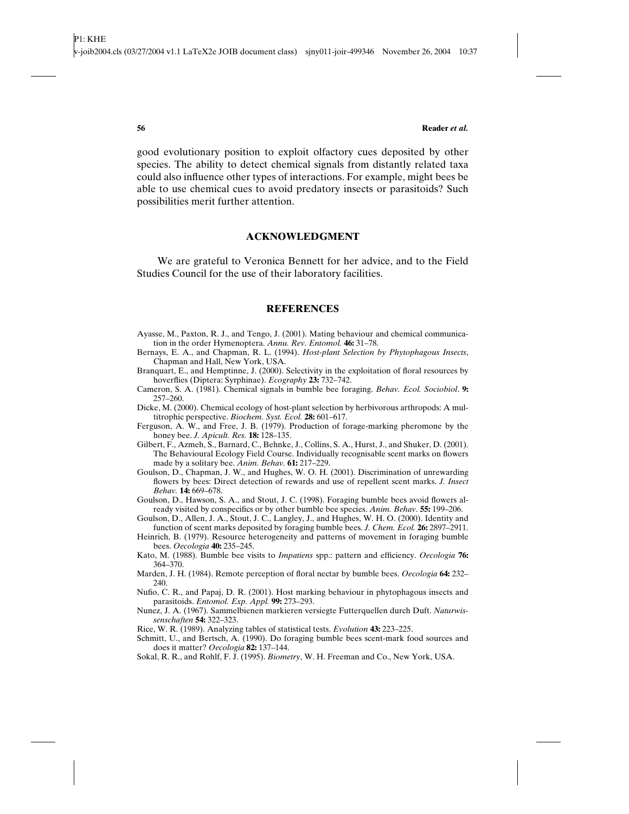#### **56 Reader** *et al.*

good evolutionary position to exploit olfactory cues deposited by other species. The ability to detect chemical signals from distantly related taxa could also influence other types of interactions. For example, might bees be able to use chemical cues to avoid predatory insects or parasitoids? Such possibilities merit further attention.

#### **ACKNOWLEDGMENT**

We are grateful to Veronica Bennett for her advice, and to the Field Studies Council for the use of their laboratory facilities.

#### **REFERENCES**

- Ayasse, M., Paxton, R. J., and Tengo, J. (2001). Mating behaviour and chemical communication in the order Hymenoptera. *Annu. Rev. Entomol.* **46:** 31–78.
- Bernays, E. A., and Chapman, R. L. (1994). *Host-plant Selection by Phytophagous Insects*, Chapman and Hall, New York, USA.
- Branquart, E., and Hemptinne, J. (2000). Selectivity in the exploitation of floral resources by hoverflies (Diptera: Syrphinae). *Ecography* **23:** 732–742.
- Cameron, S. A. (1981). Chemical signals in bumble bee foraging. *Behav. Ecol. Sociobiol*. **9:** 257–260.
- Dicke, M. (2000). Chemical ecology of host-plant selection by herbivorous arthropods: A multitrophic perspective. *Biochem. Syst. Ecol.* **28:** 601–617.
- Ferguson, A. W., and Free, J. B. (1979). Production of forage-marking pheromone by the honey bee. *J. Apicult. Res.* **18:** 128–135.
- Gilbert, F., Azmeh, S., Barnard, C., Behnke, J., Collins, S. A., Hurst, J., and Shuker, D. (2001). The Behavioural Ecology Field Course. Individually recognisable scent marks on flowers made by a solitary bee. *Anim. Behav.* **61:** 217–229.
- Goulson, D., Chapman, J. W., and Hughes, W. O. H. (2001). Discrimination of unrewarding flowers by bees: Direct detection of rewards and use of repellent scent marks. *J. Insect Behav.* **14:** 669–678.
- Goulson, D., Hawson, S. A., and Stout, J. C. (1998). Foraging bumble bees avoid flowers already visited by conspecifics or by other bumble bee species. *Anim. Behav.* **55:** 199–206.
- Goulson, D., Allen, J. A., Stout, J. C., Langley, J., and Hughes, W. H. O. (2000). Identity and
- function of scent marks deposited by foraging bumble bees. *J. Chem. Ecol.* **26:** 2897–2911. Heinrich, B. (1979). Resource heterogeneity and patterns of movement in foraging bumble bees. *Oecologia* **40:** 235–245.
- Kato, M. (1988). Bumble bee visits to *Impatiens* spp.: pattern and efficiency. *Oecologia* **76:** 364–370.
- Marden, J. H. (1984). Remote perception of floral nectar by bumble bees. *Oecologia* **64:** 232– 240.
- Nufio, C. R., and Papaj, D. R. (2001). Host marking behaviour in phytophagous insects and parasitoids. *Entomol. Exp. Appl.* **99:** 273–293.
- Nunez, J. A. (1967). Sammelbienen markieren versiegte Futterquellen durch Duft. *Naturwissenschaften* **54:** 322–323.
- Rice, W. R. (1989). Analyzing tables of statistical tests. *Evolution* **43:** 223–225.
- Schmitt, U., and Bertsch, A. (1990). Do foraging bumble bees scent-mark food sources and does it matter? *Oecologia* **82:** 137–144.
- Sokal, R. R., and Rohlf, F. J. (1995). *Biometry*, W. H. Freeman and Co., New York, USA.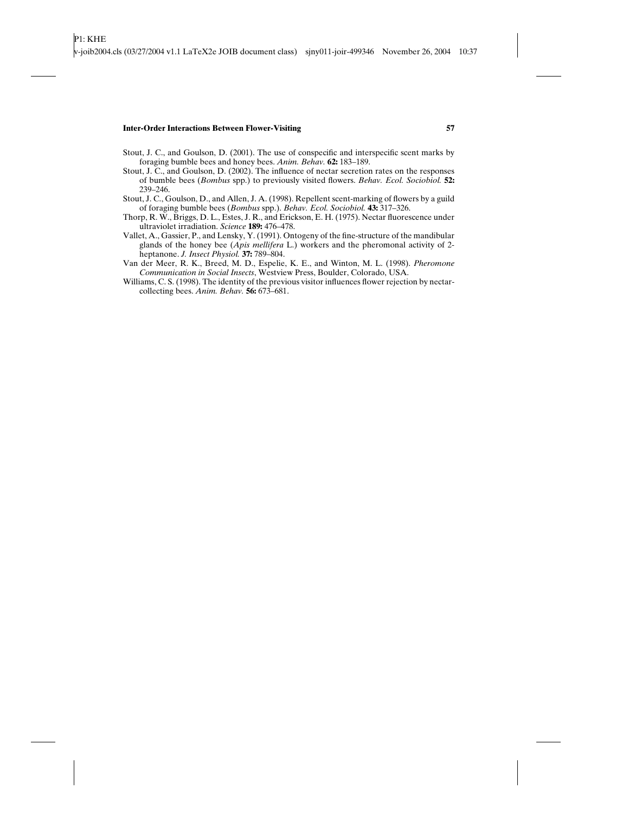#### **Inter-Order Interactions Between Flower-Visiting 57**

- Stout, J. C., and Goulson, D. (2001). The use of conspecific and interspecific scent marks by foraging bumble bees and honey bees. *Anim. Behav.* **62:** 183–189.
- Stout, J. C., and Goulson, D. (2002). The influence of nectar secretion rates on the responses of bumble bees (*Bombus* spp.) to previously visited flowers. *Behav. Ecol. Sociobiol.* **52:** 239–246.
- Stout, J. C., Goulson, D., and Allen, J. A. (1998). Repellent scent-marking of flowers by a guild of foraging bumble bees (*Bombus* spp.). *Behav. Ecol. Sociobiol.* **43:** 317–326.
- Thorp, R. W., Briggs, D. L., Estes, J. R., and Erickson, E. H. (1975). Nectar fluorescence under ultraviolet irradiation. *Science* **189:** 476–478.
- Vallet, A., Gassier, P., and Lensky, Y. (1991). Ontogeny of the fine-structure of the mandibular glands of the honey bee (*Apis mellifera* L.) workers and the pheromonal activity of 2 heptanone. *J. Insect Physiol.* **37:** 789–804.
- Van der Meer, R. K., Breed, M. D., Espelie, K. E., and Winton, M. L. (1998). *Pheromone Communication in Social Insects*, Westview Press, Boulder, Colorado, USA.
- Williams, C. S. (1998). The identity of the previous visitor influences flower rejection by nectarcollecting bees. *Anim. Behav.* **56:** 673–681.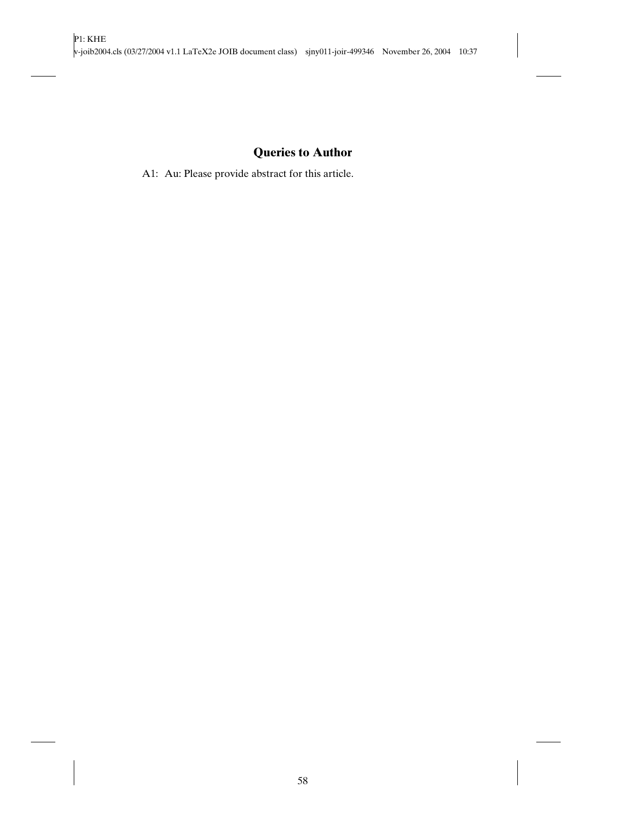# **Queries to Author**

A1: Au: Please provide abstract for this article.